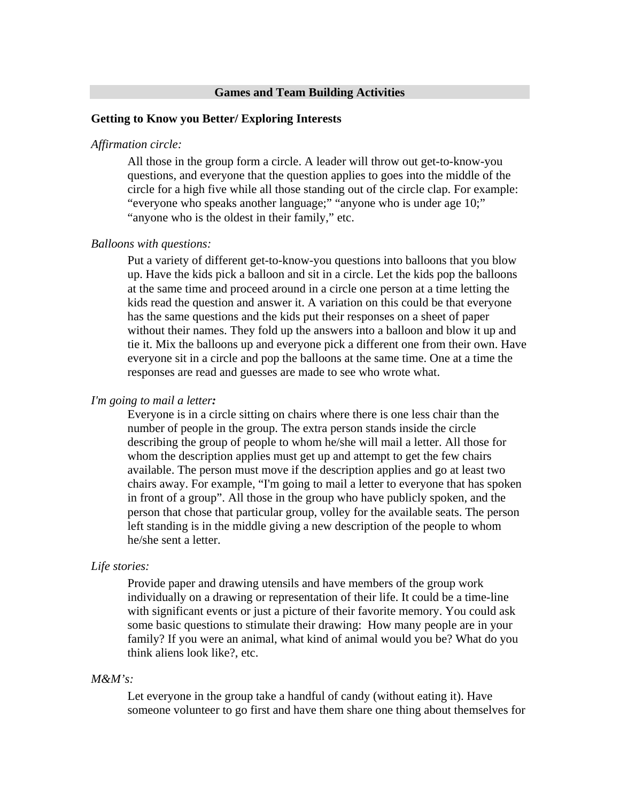#### **Games and Team Building Activities**

#### **Getting to Know you Better/ Exploring Interests**

#### *Affirmation circle:*

All those in the group form a circle. A leader will throw out get-to-know-you questions, and everyone that the question applies to goes into the middle of the circle for a high five while all those standing out of the circle clap. For example: "everyone who speaks another language;" "anyone who is under age 10;" "anyone who is the oldest in their family," etc.

#### *Balloons with questions:*

Put a variety of different get-to-know-you questions into balloons that you blow up. Have the kids pick a balloon and sit in a circle. Let the kids pop the balloons at the same time and proceed around in a circle one person at a time letting the kids read the question and answer it. A variation on this could be that everyone has the same questions and the kids put their responses on a sheet of paper without their names. They fold up the answers into a balloon and blow it up and tie it. Mix the balloons up and everyone pick a different one from their own. Have everyone sit in a circle and pop the balloons at the same time. One at a time the responses are read and guesses are made to see who wrote what.

### *I'm going to mail a letter:*

Everyone is in a circle sitting on chairs where there is one less chair than the number of people in the group. The extra person stands inside the circle describing the group of people to whom he/she will mail a letter. All those for whom the description applies must get up and attempt to get the few chairs available. The person must move if the description applies and go at least two chairs away. For example, "I'm going to mail a letter to everyone that has spoken in front of a group". All those in the group who have publicly spoken, and the person that chose that particular group, volley for the available seats. The person left standing is in the middle giving a new description of the people to whom he/she sent a letter.

#### *Life stories:*

Provide paper and drawing utensils and have members of the group work individually on a drawing or representation of their life. It could be a time-line with significant events or just a picture of their favorite memory. You could ask some basic questions to stimulate their drawing: How many people are in your family? If you were an animal, what kind of animal would you be? What do you think aliens look like?, etc.

#### *M&M's:*

Let everyone in the group take a handful of candy (without eating it). Have someone volunteer to go first and have them share one thing about themselves for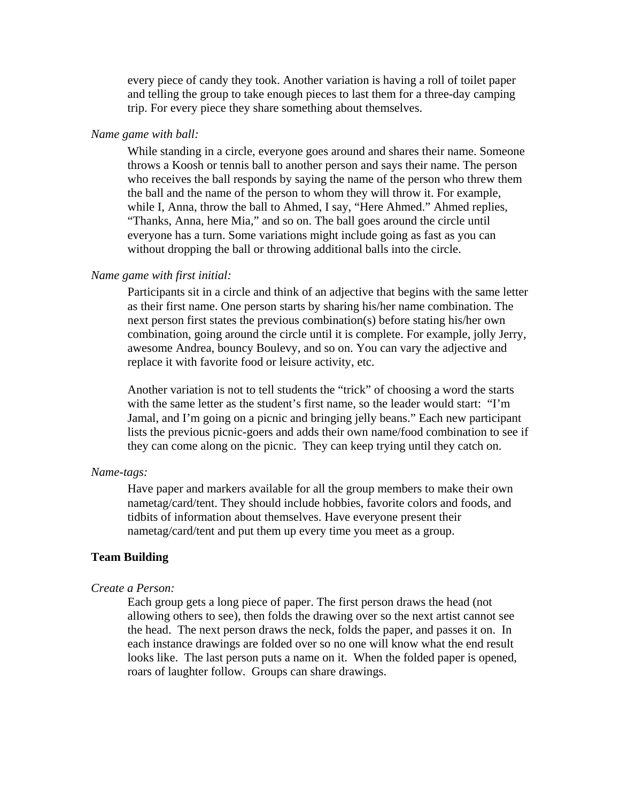every piece of candy they took. Another variation is having a roll of toilet paper and telling the group to take enough pieces to last them for a three-day camping trip. For every piece they share something about themselves.

# *Name game with ball:*

While standing in a circle, everyone goes around and shares their name. Someone throws a Koosh or tennis ball to another person and says their name. The person who receives the ball responds by saying the name of the person who threw them the ball and the name of the person to whom they will throw it. For example, while I, Anna, throw the ball to Ahmed, I say, "Here Ahmed." Ahmed replies, "Thanks, Anna, here Mia," and so on. The ball goes around the circle until everyone has a turn. Some variations might include going as fast as you can without dropping the ball or throwing additional balls into the circle.

#### *Name game with first initial:*

Participants sit in a circle and think of an adjective that begins with the same letter as their first name. One person starts by sharing his/her name combination. The next person first states the previous combination(s) before stating his/her own combination, going around the circle until it is complete. For example, jolly Jerry, awesome Andrea, bouncy Boulevy, and so on. You can vary the adjective and replace it with favorite food or leisure activity, etc.

Another variation is not to tell students the "trick" of choosing a word the starts with the same letter as the student's first name, so the leader would start: "I'm Jamal, and I'm going on a picnic and bringing jelly beans." Each new participant lists the previous picnic-goers and adds their own name/food combination to see if they can come along on the picnic. They can keep trying until they catch on.

### *Name-tags:*

Have paper and markers available for all the group members to make their own nametag/card/tent. They should include hobbies, favorite colors and foods, and tidbits of information about themselves. Have everyone present their nametag/card/tent and put them up every time you meet as a group.

# **Team Building**

#### *Create a Person:*

Each group gets a long piece of paper. The first person draws the head (not allowing others to see), then folds the drawing over so the next artist cannot see the head. The next person draws the neck, folds the paper, and passes it on. In each instance drawings are folded over so no one will know what the end result looks like. The last person puts a name on it. When the folded paper is opened, roars of laughter follow. Groups can share drawings.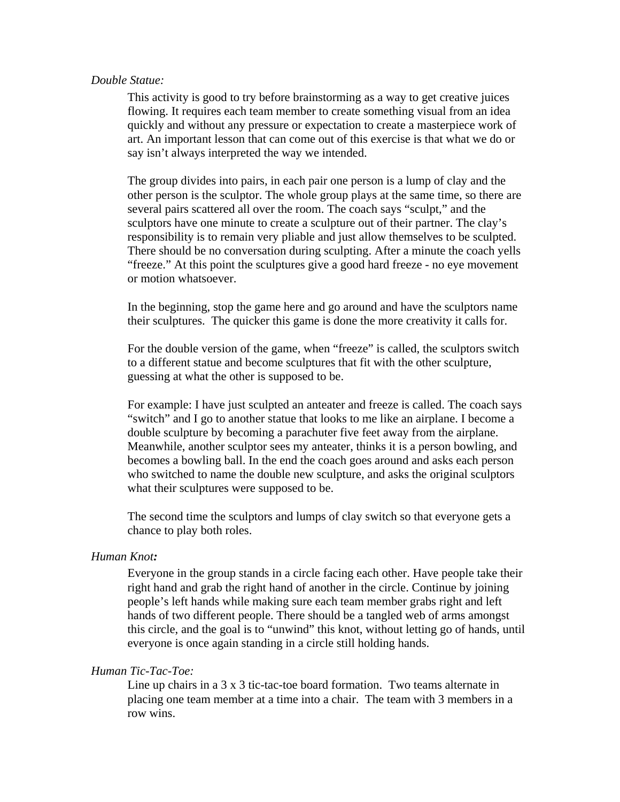### *Double Statue:*

This activity is good to try before brainstorming as a way to get creative juices flowing. It requires each team member to create something visual from an idea quickly and without any pressure or expectation to create a masterpiece work of art. An important lesson that can come out of this exercise is that what we do or say isn't always interpreted the way we intended.

The group divides into pairs, in each pair one person is a lump of clay and the other person is the sculptor. The whole group plays at the same time, so there are several pairs scattered all over the room. The coach says "sculpt," and the sculptors have one minute to create a sculpture out of their partner. The clay's responsibility is to remain very pliable and just allow themselves to be sculpted. There should be no conversation during sculpting. After a minute the coach yells "freeze." At this point the sculptures give a good hard freeze - no eye movement or motion whatsoever.

In the beginning, stop the game here and go around and have the sculptors name their sculptures. The quicker this game is done the more creativity it calls for.

For the double version of the game, when "freeze" is called, the sculptors switch to a different statue and become sculptures that fit with the other sculpture, guessing at what the other is supposed to be.

For example: I have just sculpted an anteater and freeze is called. The coach says "switch" and I go to another statue that looks to me like an airplane. I become a double sculpture by becoming a parachuter five feet away from the airplane. Meanwhile, another sculptor sees my anteater, thinks it is a person bowling, and becomes a bowling ball. In the end the coach goes around and asks each person who switched to name the double new sculpture, and asks the original sculptors what their sculptures were supposed to be.

The second time the sculptors and lumps of clay switch so that everyone gets a chance to play both roles.

# *Human Knot:*

Everyone in the group stands in a circle facing each other. Have people take their right hand and grab the right hand of another in the circle. Continue by joining people's left hands while making sure each team member grabs right and left hands of two different people. There should be a tangled web of arms amongst this circle, and the goal is to "unwind" this knot, without letting go of hands, until everyone is once again standing in a circle still holding hands.

# *Human Tic-Tac-Toe:*

Line up chairs in a 3 x 3 tic-tac-toe board formation. Two teams alternate in placing one team member at a time into a chair. The team with 3 members in a row wins.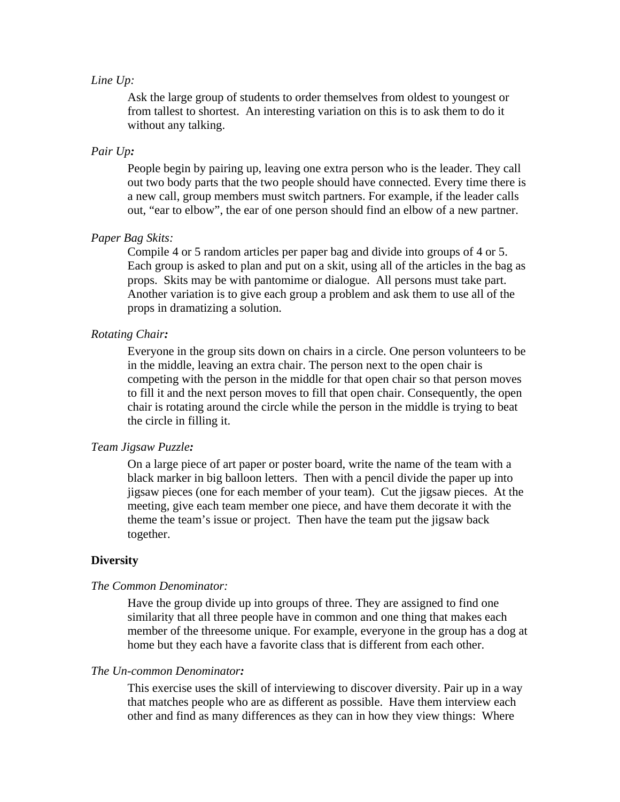### *Line Up:*

Ask the large group of students to order themselves from oldest to youngest or from tallest to shortest. An interesting variation on this is to ask them to do it without any talking.

# *Pair Up:*

People begin by pairing up, leaving one extra person who is the leader. They call out two body parts that the two people should have connected. Every time there is a new call, group members must switch partners. For example, if the leader calls out, "ear to elbow", the ear of one person should find an elbow of a new partner.

# *Paper Bag Skits:*

Compile 4 or 5 random articles per paper bag and divide into groups of 4 or 5. Each group is asked to plan and put on a skit, using all of the articles in the bag as props. Skits may be with pantomime or dialogue. All persons must take part. Another variation is to give each group a problem and ask them to use all of the props in dramatizing a solution.

# *Rotating Chair:*

Everyone in the group sits down on chairs in a circle. One person volunteers to be in the middle, leaving an extra chair. The person next to the open chair is competing with the person in the middle for that open chair so that person moves to fill it and the next person moves to fill that open chair. Consequently, the open chair is rotating around the circle while the person in the middle is trying to beat the circle in filling it.

# *Team Jigsaw Puzzle:*

On a large piece of art paper or poster board, write the name of the team with a black marker in big balloon letters. Then with a pencil divide the paper up into jigsaw pieces (one for each member of your team). Cut the jigsaw pieces. At the meeting, give each team member one piece, and have them decorate it with the theme the team's issue or project. Then have the team put the jigsaw back together.

### **Diversity**

# *The Common Denominator:*

Have the group divide up into groups of three. They are assigned to find one similarity that all three people have in common and one thing that makes each member of the threesome unique. For example, everyone in the group has a dog at home but they each have a favorite class that is different from each other.

### *The Un-common Denominator:*

This exercise uses the skill of interviewing to discover diversity. Pair up in a way that matches people who are as different as possible. Have them interview each other and find as many differences as they can in how they view things: Where